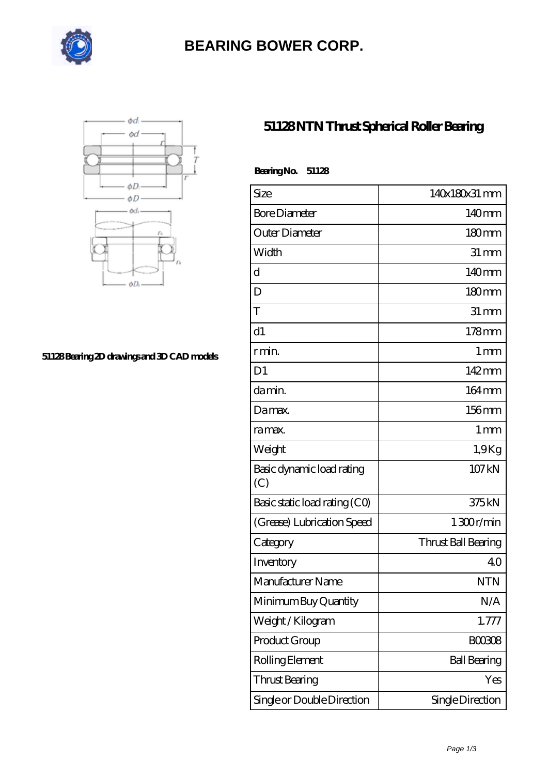

## **[BEARING BOWER CORP.](https://ballersunited.org)**



#### **[51128 Bearing 2D drawings and 3D CAD models](https://ballersunited.org/pic-1037170.html)**

### **[51128 NTN Thrust Spherical Roller Bearing](https://ballersunited.org/thrust-tapered-roller-bearing/51128.html)**

| <b>BearingNo.</b><br>51128       |                     |
|----------------------------------|---------------------|
| Size                             | 140x180x31 mm       |
| <b>Bore Diameter</b>             | 140mm               |
| Outer Diameter                   | 180 <sub>mm</sub>   |
| Width                            | $31 \, \text{mm}$   |
| d                                | 140mm               |
| D                                | 180 <sub>mm</sub>   |
| T                                | $31 \,\mathrm{mm}$  |
| d1                               | 178mm               |
| r min.                           | 1 <sub>mm</sub>     |
| D <sub>1</sub>                   | $142 \,\mathrm{mm}$ |
| da min.                          | 164mm               |
| Damax.                           | 156mm               |
| ra max.                          | 1 <sub>mm</sub>     |
| Weight                           | 1.9Kg               |
| Basic dynamic load rating<br>(C) | 107 kN              |
| Basic static load rating (CO)    | 375kN               |
| (Grease) Lubrication Speed       | 1300r/min           |
| Category                         | Thrust Ball Bearing |
| Inventory                        | 40                  |
| Manufacturer Name                | <b>NTN</b>          |
| Minimum Buy Quantity             | N/A                 |
| Weight / Kilogram                | 1.777               |
| Product Group                    | <b>BOO3O8</b>       |
| Rolling Element                  | <b>Ball Bearing</b> |
| Thrust Bearing                   | Yes                 |
| Single or Double Direction       | Single Direction    |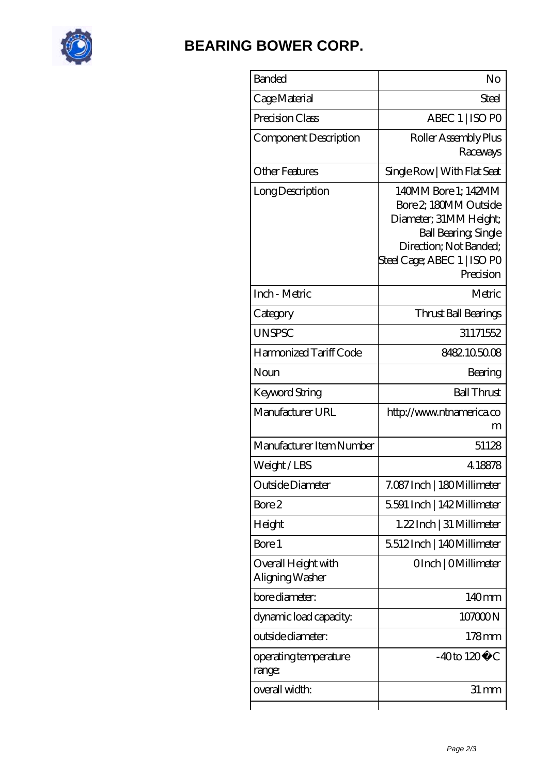

# **[BEARING BOWER CORP.](https://ballersunited.org)**

| <b>Banded</b>                          | No                                                                                                                                                                         |
|----------------------------------------|----------------------------------------------------------------------------------------------------------------------------------------------------------------------------|
| Cage Material                          | Steel                                                                                                                                                                      |
| Precision Class                        | ABEC 1   ISO PO                                                                                                                                                            |
| Component Description                  | Roller Assembly Plus<br>Raceways                                                                                                                                           |
| <b>Other Features</b>                  | Single Row   With Flat Seat                                                                                                                                                |
| Long Description                       | 140MM Bore 1; 142MM<br>Bore 2 180MM Outside<br>Diameter; 31MM Height;<br><b>Ball Bearing, Single</b><br>Direction; Not Banded;<br>Steel Cage; ABEC 1   ISO PO<br>Precision |
| Inch - Metric                          | Metric                                                                                                                                                                     |
| Category                               | Thrust Ball Bearings                                                                                                                                                       |
| <b>UNSPSC</b>                          | 31171552                                                                                                                                                                   |
| Harmonized Tariff Code                 | 8482105008                                                                                                                                                                 |
| Noun                                   | Bearing                                                                                                                                                                    |
| Keyword String                         | <b>Ball Thrust</b>                                                                                                                                                         |
| Manufacturer URL                       | http://www.ntnamerica.co<br>m                                                                                                                                              |
| Manufacturer Item Number               | 51128                                                                                                                                                                      |
| Weight/LBS                             | 4.18878                                                                                                                                                                    |
| Outside Diameter                       | 7.087 Inch   180 Millimeter                                                                                                                                                |
| Bore 2                                 | 5.591 Inch   142 Millimeter                                                                                                                                                |
| Height                                 | 1.22 Inch   31 Millimeter                                                                                                                                                  |
| Bore 1                                 | 5512Inch   140Millimeter                                                                                                                                                   |
| Overall Height with<br>Aligning Washer | OInch   OMillimeter                                                                                                                                                        |
| bore diameter:                         | 140mm                                                                                                                                                                      |
| dynamic load capacity:                 | 107000N                                                                                                                                                                    |
| outside diameter:                      | $178$ mm                                                                                                                                                                   |
| operating temperature<br>range:        | $-40$ to $120^{\circ}$ C                                                                                                                                                   |
| overall width:                         | 31 mm                                                                                                                                                                      |
|                                        |                                                                                                                                                                            |